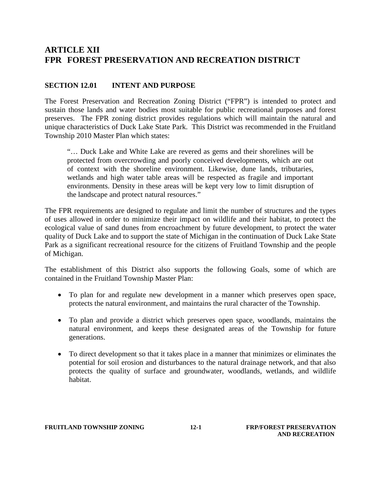# **ARTICLE XII FPR FOREST PRESERVATION AND RECREATION DISTRICT**

#### **SECTION 12.01 INTENT AND PURPOSE**

The Forest Preservation and Recreation Zoning District ("FPR") is intended to protect and sustain those lands and water bodies most suitable for public recreational purposes and forest preserves. The FPR zoning district provides regulations which will maintain the natural and unique characteristics of Duck Lake State Park. This District was recommended in the Fruitland Township 2010 Master Plan which states:

"… Duck Lake and White Lake are revered as gems and their shorelines will be protected from overcrowding and poorly conceived developments, which are out of context with the shoreline environment. Likewise, dune lands, tributaries, wetlands and high water table areas will be respected as fragile and important environments. Density in these areas will be kept very low to limit disruption of the landscape and protect natural resources."

The FPR requirements are designed to regulate and limit the number of structures and the types of uses allowed in order to minimize their impact on wildlife and their habitat, to protect the ecological value of sand dunes from encroachment by future development, to protect the water quality of Duck Lake and to support the state of Michigan in the continuation of Duck Lake State Park as a significant recreational resource for the citizens of Fruitland Township and the people of Michigan.

The establishment of this District also supports the following Goals, some of which are contained in the Fruitland Township Master Plan:

- To plan for and regulate new development in a manner which preserves open space, protects the natural environment, and maintains the rural character of the Township.
- To plan and provide a district which preserves open space, woodlands, maintains the natural environment, and keeps these designated areas of the Township for future generations.
- To direct development so that it takes place in a manner that minimizes or eliminates the potential for soil erosion and disturbances to the natural drainage network, and that also protects the quality of surface and groundwater, woodlands, wetlands, and wildlife habitat.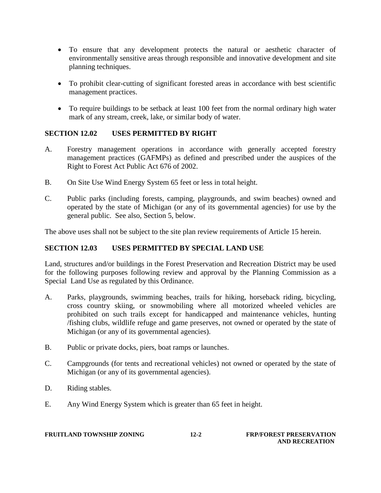- To ensure that any development protects the natural or aesthetic character of environmentally sensitive areas through responsible and innovative development and site planning techniques.
- To prohibit clear-cutting of significant forested areas in accordance with best scientific management practices.
- To require buildings to be setback at least 100 feet from the normal ordinary high water mark of any stream, creek, lake, or similar body of water.

#### **SECTION 12.02 USES PERMITTED BY RIGHT**

- A. Forestry management operations in accordance with generally accepted forestry management practices (GAFMPs) as defined and prescribed under the auspices of the Right to Forest Act Public Act 676 of 2002.
- B. On Site Use Wind Energy System 65 feet or less in total height.
- C. Public parks (including forests, camping, playgrounds, and swim beaches) owned and operated by the state of Michigan (or any of its governmental agencies) for use by the general public. See also, Section 5, below.

The above uses shall not be subject to the site plan review requirements of Article 15 herein.

### **SECTION 12.03 USES PERMITTED BY SPECIAL LAND USE**

Land, structures and/or buildings in the Forest Preservation and Recreation District may be used for the following purposes following review and approval by the Planning Commission as a Special Land Use as regulated by this Ordinance.

- A. Parks, playgrounds, swimming beaches, trails for hiking, horseback riding, bicycling, cross country skiing, or snowmobiling where all motorized wheeled vehicles are prohibited on such trails except for handicapped and maintenance vehicles, hunting /fishing clubs, wildlife refuge and game preserves, not owned or operated by the state of Michigan (or any of its governmental agencies).
- B. Public or private docks, piers, boat ramps or launches.
- C. Campgrounds (for tents and recreational vehicles) not owned or operated by the state of Michigan (or any of its governmental agencies).
- D. Riding stables.
- E. Any Wind Energy System which is greater than 65 feet in height.

| <b>FRUITLAND TOWNSHIP ZONING</b> | $12 - 2$ | <b>FRP/FOREST PRESERVATION</b> |
|----------------------------------|----------|--------------------------------|
|                                  |          | <b>AND RECREATION</b>          |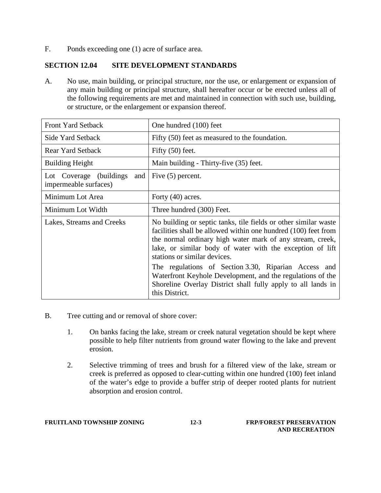F. Ponds exceeding one (1) acre of surface area.

# **SECTION 12.04 SITE DEVELOPMENT STANDARDS**

A. No use, main building, or principal structure, nor the use, or enlargement or expansion of any main building or principal structure, shall hereafter occur or be erected unless all of the following requirements are met and maintained in connection with such use, building, or structure, or the enlargement or expansion thereof.

| Front Yard Setback                                       | One hundred (100) feet                                                                                                                                                                                                                                                                                                                                                                                                                                                                              |
|----------------------------------------------------------|-----------------------------------------------------------------------------------------------------------------------------------------------------------------------------------------------------------------------------------------------------------------------------------------------------------------------------------------------------------------------------------------------------------------------------------------------------------------------------------------------------|
| Side Yard Setback                                        | Fifty (50) feet as measured to the foundation.                                                                                                                                                                                                                                                                                                                                                                                                                                                      |
| <b>Rear Yard Setback</b>                                 | Fifty $(50)$ feet.                                                                                                                                                                                                                                                                                                                                                                                                                                                                                  |
| <b>Building Height</b>                                   | Main building - Thirty-five (35) feet.                                                                                                                                                                                                                                                                                                                                                                                                                                                              |
| Lot Coverage (buildings)<br>and<br>impermeable surfaces) | Five $(5)$ percent.                                                                                                                                                                                                                                                                                                                                                                                                                                                                                 |
| Minimum Lot Area                                         | Forty (40) acres.                                                                                                                                                                                                                                                                                                                                                                                                                                                                                   |
| Minimum Lot Width                                        | Three hundred (300) Feet.                                                                                                                                                                                                                                                                                                                                                                                                                                                                           |
| Lakes, Streams and Creeks                                | No building or septic tanks, tile fields or other similar waste<br>facilities shall be allowed within one hundred (100) feet from<br>the normal ordinary high water mark of any stream, creek,<br>lake, or similar body of water with the exception of lift<br>stations or similar devices.<br>The regulations of Section 3.30, Riparian Access and<br>Waterfront Keyhole Development, and the regulations of the<br>Shoreline Overlay District shall fully apply to all lands in<br>this District. |

- B. Tree cutting and or removal of shore cover:
	- 1. On banks facing the lake, stream or creek natural vegetation should be kept where possible to help filter nutrients from ground water flowing to the lake and prevent erosion.
	- 2. Selective trimming of trees and brush for a filtered view of the lake, stream or creek is preferred as opposed to clear-cutting within one hundred (100) feet inland of the water's edge to provide a buffer strip of deeper rooted plants for nutrient absorption and erosion control.